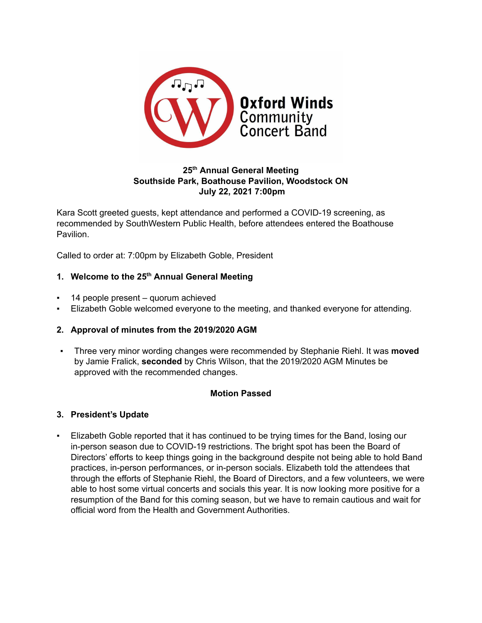

# **25 th Annual General Meeting Southside Park, Boathouse Pavilion, Woodstock ON July 22, 2021 7:00pm**

Kara Scott greeted guests, kept attendance and performed a COVID-19 screening, as recommended by SouthWestern Public Health, before attendees entered the Boathouse Pavilion.

Called to order at: 7:00pm by Elizabeth Goble, President

## **1. Welcome to the 25 th Annual General Meeting**

- 14 people present quorum achieved
- Elizabeth Goble welcomed everyone to the meeting, and thanked everyone for attending.

## **2. Approval of minutes from the 2019/2020 AGM**

Three very minor wording changes were recommended by Stephanie Riehl. It was **moved** by Jamie Fralick, **seconded** by Chris Wilson, that the 2019/2020 AGM Minutes be approved with the recommended changes.

## **Motion Passed**

## **3. President's Update**

▪ Elizabeth Goble reported that it has continued to be trying times for the Band, losing our in-person season due to COVID-19 restrictions. The bright spot has been the Board of Directors' efforts to keep things going in the background despite not being able to hold Band practices, in-person performances, or in-person socials. Elizabeth told the attendees that through the efforts of Stephanie Riehl, the Board of Directors, and a few volunteers, we were able to host some virtual concerts and socials this year. It is now looking more positive for a resumption of the Band for this coming season, but we have to remain cautious and wait for official word from the Health and Government Authorities.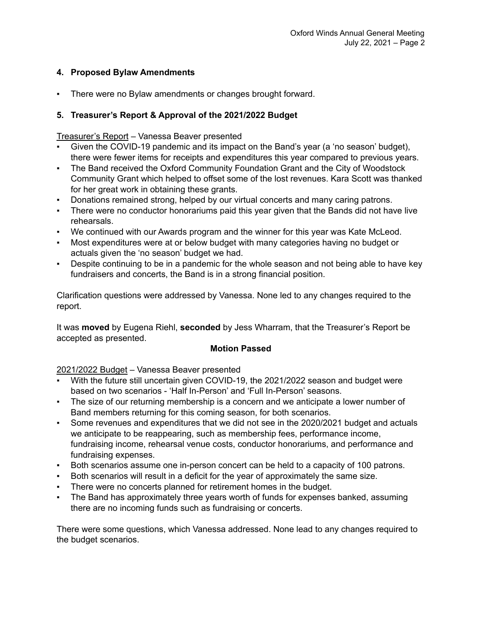# **4. Proposed Bylaw Amendments**

▪ There were no Bylaw amendments or changes brought forward.

# **5. Treasurer's Report & Approval of the 2021/2022 Budget**

# Treasurer's Report – Vanessa Beaver presented

- Given the COVID-19 pandemic and its impact on the Band's year (a 'no season' budget), there were fewer items for receipts and expenditures this year compared to previous years.
- The Band received the Oxford Community Foundation Grant and the City of Woodstock Community Grant which helped to offset some of the lost revenues. Kara Scott was thanked for her great work in obtaining these grants.
- Donations remained strong, helped by our virtual concerts and many caring patrons.
- There were no conductor honorariums paid this year given that the Bands did not have live rehearsals.
- We continued with our Awards program and the winner for this year was Kate McLeod.
- Most expenditures were at or below budget with many categories having no budget or actuals given the 'no season' budget we had.
- Despite continuing to be in a pandemic for the whole season and not being able to have key fundraisers and concerts, the Band is in a strong financial position.

Clarification questions were addressed by Vanessa. None led to any changes required to the report.

It was **moved** by Eugena Riehl, **seconded** by Jess Wharram, that the Treasurer's Report be accepted as presented.

# **Motion Passed**

# 2021/2022 Budget – Vanessa Beaver presented

- With the future still uncertain given COVID-19, the 2021/2022 season and budget were based on two scenarios - 'Half In-Person' and 'Full In-Person' seasons.
- The size of our returning membership is a concern and we anticipate a lower number of Band members returning for this coming season, for both scenarios.
- Some revenues and expenditures that we did not see in the 2020/2021 budget and actuals we anticipate to be reappearing, such as membership fees, performance income, fundraising income, rehearsal venue costs, conductor honorariums, and performance and fundraising expenses.
- Both scenarios assume one in-person concert can be held to a capacity of 100 patrons.
- Both scenarios will result in a deficit for the year of approximately the same size.
- There were no concerts planned for retirement homes in the budget.
- The Band has approximately three years worth of funds for expenses banked, assuming there are no incoming funds such as fundraising or concerts.

There were some questions, which Vanessa addressed. None lead to any changes required to the budget scenarios.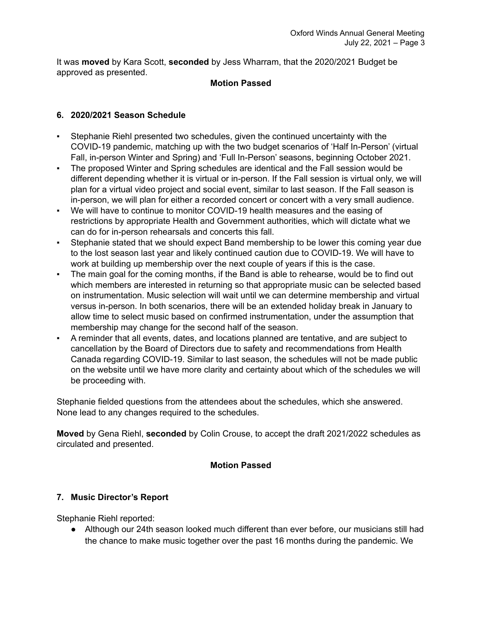It was **moved** by Kara Scott, **seconded** by Jess Wharram, that the 2020/2021 Budget be approved as presented.

## **Motion Passed**

# **6. 2020/2021 Season Schedule**

- Stephanie Riehl presented two schedules, given the continued uncertainty with the COVID-19 pandemic, matching up with the two budget scenarios of 'Half In-Person' (virtual Fall, in-person Winter and Spring) and 'Full In-Person' seasons, beginning October 2021.
- The proposed Winter and Spring schedules are identical and the Fall session would be different depending whether it is virtual or in-person. If the Fall session is virtual only, we will plan for a virtual video project and social event, similar to last season. If the Fall season is in-person, we will plan for either a recorded concert or concert with a very small audience.
- We will have to continue to monitor COVID-19 health measures and the easing of restrictions by appropriate Health and Government authorities, which will dictate what we can do for in-person rehearsals and concerts this fall.
- Stephanie stated that we should expect Band membership to be lower this coming year due to the lost season last year and likely continued caution due to COVID-19. We will have to work at building up membership over the next couple of years if this is the case.
- The main goal for the coming months, if the Band is able to rehearse, would be to find out which members are interested in returning so that appropriate music can be selected based on instrumentation. Music selection will wait until we can determine membership and virtual versus in-person. In both scenarios, there will be an extended holiday break in January to allow time to select music based on confirmed instrumentation, under the assumption that membership may change for the second half of the season.
- A reminder that all events, dates, and locations planned are tentative, and are subject to cancellation by the Board of Directors due to safety and recommendations from Health Canada regarding COVID-19. Similar to last season, the schedules will not be made public on the website until we have more clarity and certainty about which of the schedules we will be proceeding with.

Stephanie fielded questions from the attendees about the schedules, which she answered. None lead to any changes required to the schedules.

**Moved** by Gena Riehl, **seconded** by Colin Crouse, to accept the draft 2021/2022 schedules as circulated and presented.

# **Motion Passed**

# **7. Music Director's Report**

Stephanie Riehl reported:

● Although our 24th season looked much different than ever before, our musicians still had the chance to make music together over the past 16 months during the pandemic. We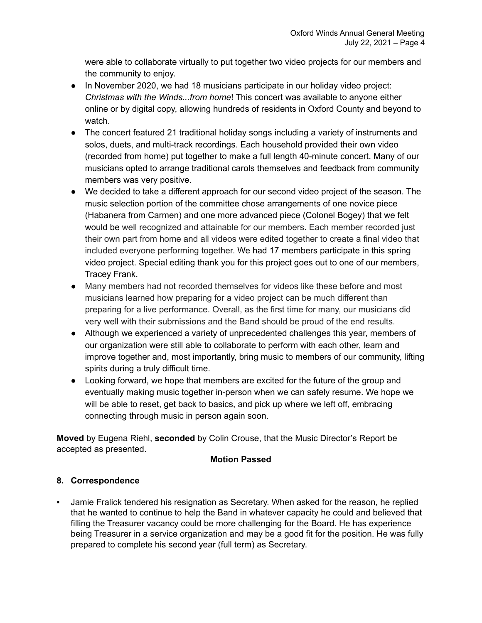were able to collaborate virtually to put together two video projects for our members and the community to enjoy.

- In November 2020, we had 18 musicians participate in our holiday video project: *Christmas with the Winds...from home*! This concert was available to anyone either online or by digital copy, allowing hundreds of residents in Oxford County and beyond to watch.
- The concert featured 21 traditional holiday songs including a variety of instruments and solos, duets, and multi-track recordings. Each household provided their own video (recorded from home) put together to make a full length 40-minute concert. Many of our musicians opted to arrange traditional carols themselves and feedback from community members was very positive.
- We decided to take a different approach for our second video project of the season. The music selection portion of the committee chose arrangements of one novice piece (Habanera from Carmen) and one more advanced piece (Colonel Bogey) that we felt would be well recognized and attainable for our members. Each member recorded just their own part from home and all videos were edited together to create a final video that included everyone performing together. We had 17 members participate in this spring video project. Special editing thank you for this project goes out to one of our members, Tracey Frank.
- Many members had not recorded themselves for videos like these before and most musicians learned how preparing for a video project can be much different than preparing for a live performance. Overall, as the first time for many, our musicians did very well with their submissions and the Band should be proud of the end results.
- Although we experienced a variety of unprecedented challenges this year, members of our organization were still able to collaborate to perform with each other, learn and improve together and, most importantly, bring music to members of our community, lifting spirits during a truly difficult time.
- Looking forward, we hope that members are excited for the future of the group and eventually making music together in-person when we can safely resume. We hope we will be able to reset, get back to basics, and pick up where we left off, embracing connecting through music in person again soon.

**Moved** by Eugena Riehl, **seconded** by Colin Crouse, that the Music Director's Report be accepted as presented.

# **Motion Passed**

# **8. Correspondence**

▪ Jamie Fralick tendered his resignation as Secretary. When asked for the reason, he replied that he wanted to continue to help the Band in whatever capacity he could and believed that filling the Treasurer vacancy could be more challenging for the Board. He has experience being Treasurer in a service organization and may be a good fit for the position. He was fully prepared to complete his second year (full term) as Secretary.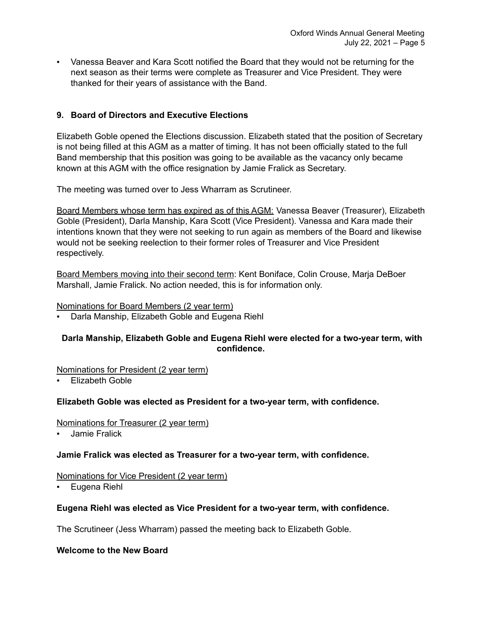▪ Vanessa Beaver and Kara Scott notified the Board that they would not be returning for the next season as their terms were complete as Treasurer and Vice President. They were thanked for their years of assistance with the Band.

# **9. Board of Directors and Executive Elections**

Elizabeth Goble opened the Elections discussion. Elizabeth stated that the position of Secretary is not being filled at this AGM as a matter of timing. It has not been officially stated to the full Band membership that this position was going to be available as the vacancy only became known at this AGM with the office resignation by Jamie Fralick as Secretary.

The meeting was turned over to Jess Wharram as Scrutineer.

Board Members whose term has expired as of this AGM: Vanessa Beaver (Treasurer), Elizabeth Goble (President), Darla Manship, Kara Scott (Vice President). Vanessa and Kara made their intentions known that they were not seeking to run again as members of the Board and likewise would not be seeking reelection to their former roles of Treasurer and Vice President respectively.

Board Members moving into their second term: Kent Boniface, Colin Crouse, Marja DeBoer Marshall, Jamie Fralick. No action needed, this is for information only.

#### Nominations for Board Members (2 year term)

▪ Darla Manship, Elizabeth Goble and Eugena Riehl

## **Darla Manship, Elizabeth Goble and Eugena Riehl were elected for a two-year term, with confidence.**

#### Nominations for President (2 year term)

**Elizabeth Goble** 

## **Elizabeth Goble was elected as President for a two-year term, with confidence.**

#### Nominations for Treasurer (2 year term)

Jamie Fralick

## **Jamie Fralick was elected as Treasurer for a two-year term, with confidence.**

#### Nominations for Vice President (2 year term)

Eugena Riehl

## **Eugena Riehl was elected as Vice President for a two-year term, with confidence.**

The Scrutineer (Jess Wharram) passed the meeting back to Elizabeth Goble.

**Welcome to the New Board**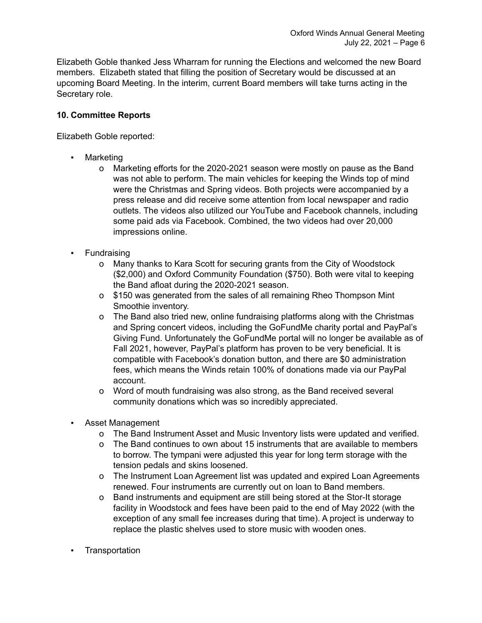Elizabeth Goble thanked Jess Wharram for running the Elections and welcomed the new Board members. Elizabeth stated that filling the position of Secretary would be discussed at an upcoming Board Meeting. In the interim, current Board members will take turns acting in the Secretary role.

# **10. Committee Reports**

Elizabeth Goble reported:

- Marketing
	- o Marketing efforts for the 2020-2021 season were mostly on pause as the Band was not able to perform. The main vehicles for keeping the Winds top of mind were the Christmas and Spring videos. Both projects were accompanied by a press release and did receive some attention from local newspaper and radio outlets. The videos also utilized our YouTube and Facebook channels, including some paid ads via Facebook. Combined, the two videos had over 20,000 impressions online.
- Fundraising
	- o Many thanks to Kara Scott for securing grants from the City of Woodstock (\$2,000) and Oxford Community Foundation (\$750). Both were vital to keeping the Band afloat during the 2020-2021 season.
	- o \$150 was generated from the sales of all remaining Rheo Thompson Mint Smoothie inventory.
	- o The Band also tried new, online fundraising platforms along with the Christmas and Spring concert videos, including the GoFundMe charity portal and PayPal's Giving Fund. Unfortunately the GoFundMe portal will no longer be available as of Fall 2021, however, PayPal's platform has proven to be very beneficial. It is compatible with Facebook's donation button, and there are \$0 administration fees, which means the Winds retain 100% of donations made via our PayPal account.
	- o Word of mouth fundraising was also strong, as the Band received several community donations which was so incredibly appreciated.
- Asset Management
	- o The Band Instrument Asset and Music Inventory lists were updated and verified.
	- o The Band continues to own about 15 instruments that are available to members to borrow. The tympani were adjusted this year for long term storage with the tension pedals and skins loosened.
	- o The Instrument Loan Agreement list was updated and expired Loan Agreements renewed. Four instruments are currently out on loan to Band members.
	- o Band instruments and equipment are still being stored at the Stor-It storage facility in Woodstock and fees have been paid to the end of May 2022 (with the exception of any small fee increases during that time). A project is underway to replace the plastic shelves used to store music with wooden ones.
- **Transportation**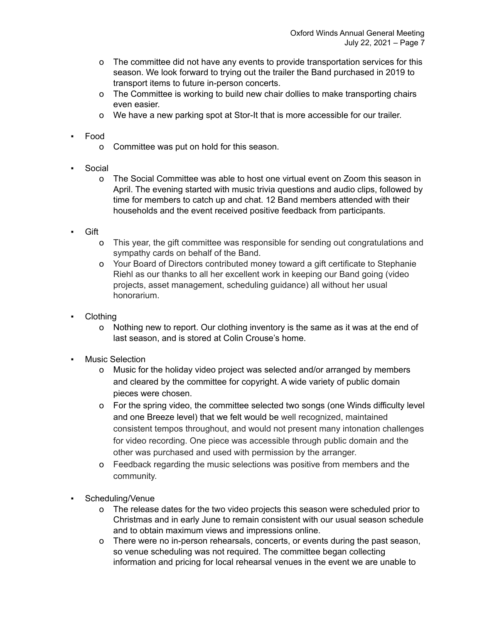- o The committee did not have any events to provide transportation services for this season. We look forward to trying out the trailer the Band purchased in 2019 to transport items to future in-person concerts.
- o The Committee is working to build new chair dollies to make transporting chairs even easier.
- o We have a new parking spot at Stor-It that is more accessible for our trailer.
- Food
	- o Committee was put on hold for this season.
- Social
	- o The Social Committee was able to host one virtual event on Zoom this season in April. The evening started with music trivia questions and audio clips, followed by time for members to catch up and chat. 12 Band members attended with their households and the event received positive feedback from participants.
- Gift
	- o This year, the gift committee was responsible for sending out congratulations and sympathy cards on behalf of the Band.
	- o Your Board of Directors contributed money toward a gift certificate to Stephanie Riehl as our thanks to all her excellent work in keeping our Band going (video projects, asset management, scheduling guidance) all without her usual honorarium.
- **Clothing** 
	- o Nothing new to report. Our clothing inventory is the same as it was at the end of last season, and is stored at Colin Crouse's home.
- **Music Selection** 
	- o Music for the holiday video project was selected and/or arranged by members and cleared by the committee for copyright. A wide variety of public domain pieces were chosen.
	- o For the spring video, the committee selected two songs (one Winds difficulty level and one Breeze level) that we felt would be well recognized, maintained consistent tempos throughout, and would not present many intonation challenges for video recording. One piece was accessible through public domain and the other was purchased and used with permission by the arranger.
	- o Feedback regarding the music selections was positive from members and the community.
- Scheduling/Venue
	- o The release dates for the two video projects this season were scheduled prior to Christmas and in early June to remain consistent with our usual season schedule and to obtain maximum views and impressions online.
	- o There were no in-person rehearsals, concerts, or events during the past season, so venue scheduling was not required. The committee began collecting information and pricing for local rehearsal venues in the event we are unable to